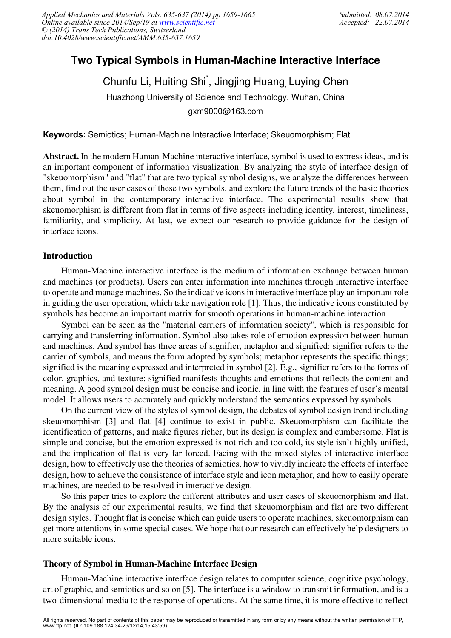# **Two Typical Symbols in Human-Machine Interactive Interface**

Chunfu Li, Huiting Shi\* , Jingjing Huang, Luying Chen Huazhong University of Science and Technology, Wuhan, China gxm9000@163.com

**Keywords:** Semiotics; Human-Machine Interactive Interface; Skeuomorphism; Flat

Abstract. In the modern Human-Machine interactive interface, symbol is used to express ideas, and is an important component of information visualization. By analyzing the style of interface design of "skeuomorphism" and "flat" that are two typical symbol designs, we analyze the differences between them, find out the user cases of these two symbols, and explore the future trends of the basic theories about symbol in the contemporary interactive interface. The experimental results show that skeuomorphism is different from flat in terms of five aspects including identity, interest, timeliness, familiarity, and simplicity. At last, we expect our research to provide guidance for the design of interface icons.

# Introduction

Human-Machine interactive interface is the medium of information exchange between human and machines (or products). Users can enter information into machines through interactive interface to operate and manage machines. So the indicative icons in interactive interface play an important role in guiding the user operation, which take navigation role [1]. Thus, the indicative icons constituted by symbols has become an important matrix for smooth operations in human-machine interaction.

Symbol can be seen as the "material carriers of information society", which is responsible for carrying and transferring information. Symbol also takes role of emotion expression between human and machines. And symbol has three areas of signifier, metaphor and signified: signifier refers to the carrier of symbols, and means the form adopted by symbols; metaphor represents the specific things; signified is the meaning expressed and interpreted in symbol [2]. E.g., signifier refers to the forms of color, graphics, and texture; signified manifests thoughts and emotions that reflects the content and meaning. A good symbol design must be concise and iconic, in line with the features of user's mental model. It allows users to accurately and quickly understand the semantics expressed by symbols.

On the current view of the styles of symbol design, the debates of symbol design trend including skeuomorphism [3] and flat [4] continue to exist in public. Skeuomorphism can facilitate the identification of patterns, and make figures richer, but its design is complex and cumbersome. Flat is simple and concise, but the emotion expressed is not rich and too cold, its style isn't highly unified, and the implication of flat is very far forced. Facing with the mixed styles of interactive interface design, how to effectively use the theories of semiotics, how to vividly indicate the effects of interface design, how to achieve the consistence of interface style and icon metaphor, and how to easily operate machines, are needed to be resolved in interactive design.

So this paper tries to explore the different attributes and user cases of skeuomorphism and flat. By the analysis of our experimental results, we find that skeuomorphism and flat are two different design styles. Thought flat is concise which can guide users to operate machines, skeuomorphism can get more attentions in some special cases. We hope that our research can effectively help designers to more suitable icons.

# Theory of Symbol in Human-Machine Interface Design

Human-Machine interactive interface design relates to computer science, cognitive psychology, art of graphic, and semiotics and so on [5]. The interface is a window to transmit information, and is a two-dimensional media to the response of operations. At the same time, it is more effective to reflect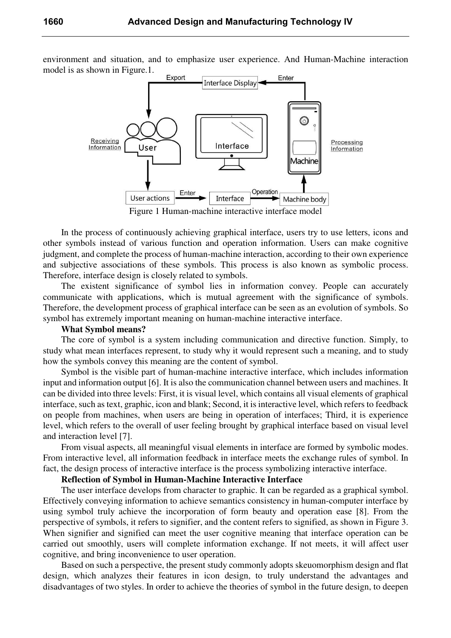environment and situation, and to emphasize user experience. And Human-Machine interaction model is as shown in Figure.1.



Figure 1 Human-machine interactive interface model

In the process of continuously achieving graphical interface, users try to use letters, icons and other symbols instead of various function and operation information. Users can make cognitive judgment, and complete the process of human-machine interaction, according to their own experience and subjective associations of these symbols. This process is also known as symbolic process. Therefore, interface design is closely related to symbols.

The existent significance of symbol lies in information convey. People can accurately communicate with applications, which is mutual agreement with the significance of symbols. Therefore, the development process of graphical interface can be seen as an evolution of symbols. So symbol has extremely important meaning on human-machine interactive interface.

#### What Symbol means?

The core of symbol is a system including communication and directive function. Simply, to study what mean interfaces represent, to study why it would represent such a meaning, and to study how the symbols convey this meaning are the content of symbol.

Symbol is the visible part of human-machine interactive interface, which includes information input and information output [6]. It is also the communication channel between users and machines. It can be divided into three levels: First, it is visual level, which contains all visual elements of graphical interface, such as text, graphic, icon and blank; Second, it is interactive level, which refers to feedback on people from machines, when users are being in operation of interfaces; Third, it is experience level, which refers to the overall of user feeling brought by graphical interface based on visual level and interaction level [7].

From visual aspects, all meaningful visual elements in interface are formed by symbolic modes. From interactive level, all information feedback in interface meets the exchange rules of symbol. In fact, the design process of interactive interface is the process symbolizing interactive interface.

#### Reflection of Symbol in Human-Machine Interactive Interface

The user interface develops from character to graphic. It can be regarded as a graphical symbol. Effectively conveying information to achieve semantics consistency in human-computer interface by using symbol truly achieve the incorporation of form beauty and operation ease [8]. From the perspective of symbols, it refers to signifier, and the content refers to signified, as shown in Figure 3. When signifier and signified can meet the user cognitive meaning that interface operation can be carried out smoothly, users will complete information exchange. If not meets, it will affect user cognitive, and bring inconvenience to user operation.

Based on such a perspective, the present study commonly adopts skeuomorphism design and flat design, which analyzes their features in icon design, to truly understand the advantages and disadvantages of two styles. In order to achieve the theories of symbol in the future design, to deepen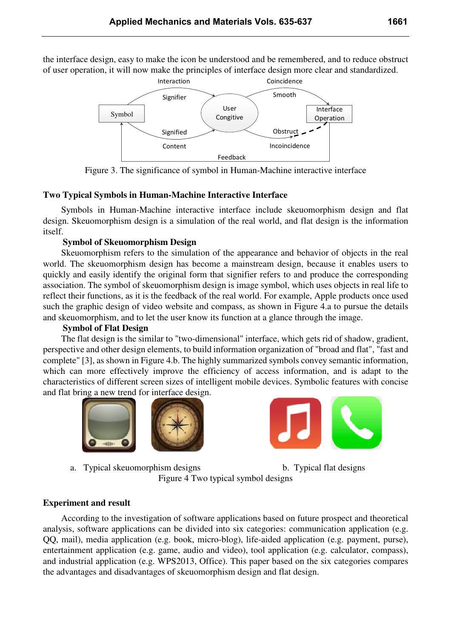the interface design, easy to make the icon be understood and be remembered, and to reduce obstruct of user operation, it will now make the principles of interface design more clear and standardized.



Figure 3. The significance of symbol in Human-Machine interactive interface

### Two Typical Symbols in Human-Machine Interactive Interface

Symbols in Human-Machine interactive interface include skeuomorphism design and flat design. Skeuomorphism design is a simulation of the real world, and flat design is the information itself.

# Symbol of Skeuomorphism Design

Skeuomorphism refers to the simulation of the appearance and behavior of objects in the real world. The skeuomorphism design has become a mainstream design, because it enables users to quickly and easily identify the original form that signifier refers to and produce the corresponding association. The symbol of skeuomorphism design is image symbol, which uses objects in real life to reflect their functions, as it is the feedback of the real world. For example, Apple products once used such the graphic design of video website and compass, as shown in Figure 4.a to pursue the details and skeuomorphism, and to let the user know its function at a glance through the image.

# Symbol of Flat Design

The flat design is the similar to "two-dimensional" interface, which gets rid of shadow, gradient, perspective and other design elements, to build information organization of "broad and flat", "fast and complete" [3], as shown in Figure 4.b. The highly summarized symbols convey semantic information, which can more effectively improve the efficiency of access information, and is adapt to the characteristics of different screen sizes of intelligent mobile devices. Symbolic features with concise and flat bring a new trend for interface design.





a. Typical skeuomorphism designs b. Typical flat designs Figure 4 Two typical symbol designs

# Experiment and result

According to the investigation of software applications based on future prospect and theoretical analysis, software applications can be divided into six categories: communication application (e.g. QQ, mail), media application (e.g. book, micro-blog), life-aided application (e.g. payment, purse), entertainment application (e.g. game, audio and video), tool application (e.g. calculator, compass), and industrial application (e.g. WPS2013, Office). This paper based on the six categories compares the advantages and disadvantages of skeuomorphism design and flat design.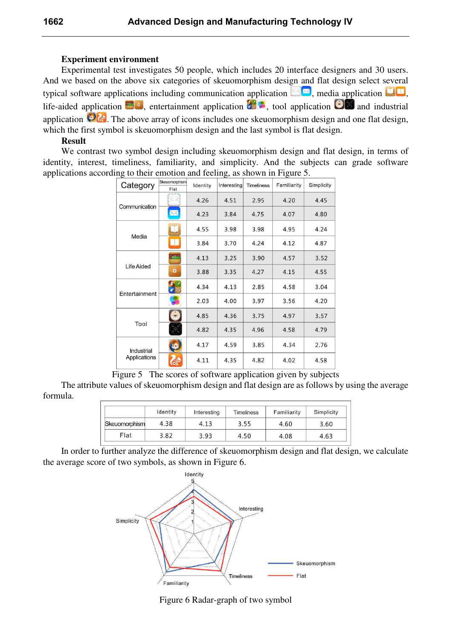#### Experiment environment

Experimental test investigates 50 people, which includes 20 interface designers and 30 users. And we based on the above six categories of skeuomorphism design and flat design select several typical software applications including communication application  $\Box$ , media application  $\Box$ , life-aided application  $\blacksquare$ , entertainment application  $\blacksquare$ , tool application  $\blacksquare$  and industrial application  $\mathbf{\odot}$ . The above array of icons includes one skeuomorphism design and one flat design, which the first symbol is skeuomorphism design and the last symbol is flat design.

### Result

We contrast two symbol design including skeuomorphism design and flat design, in terms of identity, interest, timeliness, familiarity, and simplicity. And the subjects can grade software applications according to their emotion and feeling, as shown in Figure 5.

| Skeuomorphism<br>Flat                                             | Identity      | Interesting | <b>Timeliness</b> | Familiarity | Simplicity |
|-------------------------------------------------------------------|---------------|-------------|-------------------|-------------|------------|
|                                                                   | 4.26          | 4.51        | 2.95              | 4.20        | 4.45       |
| $\boxtimes$                                                       | 4.23          | 3.84        | 4.75              | 4.07        | 4.80       |
| H                                                                 | 4.55          | 3.98        | 3.98              | 4.95        | 4.24       |
| W                                                                 | 3.84          | 3.70        | 4.24              | 4.12        | 4.87       |
| <u>io d</u>                                                       | 4.13          | 3.25        | 3.90              | 4.57        | 3.52       |
| ò                                                                 | 3.88          | 3.35        | 4.27              | 4.15        | 4.55       |
| $\frac{1}{2}$                                                     | 4.34          | 4.13        | 2.85              | 4.58        | 3.04       |
|                                                                   | 2.03          | 4.00        | 3.97              | 3.56        | 4.20       |
| ✿                                                                 | 4.85          | 4.36        | 3.75              | 4.97        | 3.57       |
| $\begin{array}{c c}\n\cdot & \cdot \\ \cdot & \cdot\n\end{array}$ | 4.82          | 4.35        | 4.96              | 4.58        | 4.79       |
| $\left( 0\right)$                                                 | 4.17          | 4.59        | 3.85              | 4.34        | 2.76       |
| 6                                                                 | 4.11          | 4.35        | 4.82              | 4.02        | 4.58       |
|                                                                   | Entertainment |             |                   |             |            |

Figure 5 The scores of software application given by subjects

The attribute values of skeuomorphism design and flat design are as follows by using the average formula.

|               | Identity | Interesting | <b>Timeliness</b> | Familiarity | Simplicity |
|---------------|----------|-------------|-------------------|-------------|------------|
| Skeuomorphism | 4.38     | 4.13        | 3.55              | 4.60        | 3.60       |
| Flat          | 3.82     | 3.93        | 4.50              | 4.08        | 4.63       |

In order to further analyze the difference of skeuomorphism design and flat design, we calculate the average score of two symbols, as shown in Figure 6.



Figure 6 Radar-graph of two symbol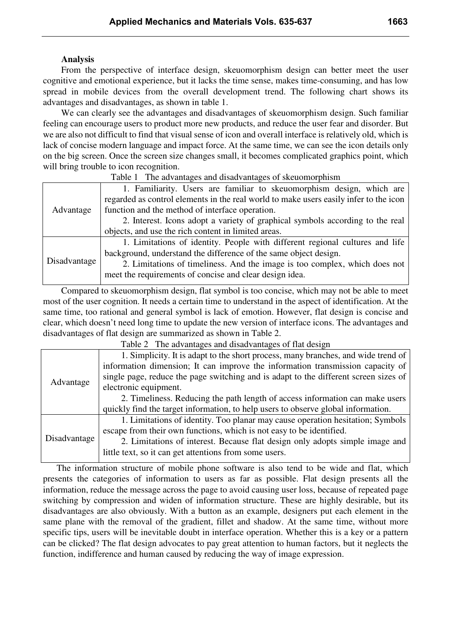### Analysis

From the perspective of interface design, skeuomorphism design can better meet the user cognitive and emotional experience, but it lacks the time sense, makes time-consuming, and has low spread in mobile devices from the overall development trend. The following chart shows its advantages and disadvantages, as shown in table 1.

We can clearly see the advantages and disadvantages of skeuomorphism design. Such familiar feeling can encourage users to product more new products, and reduce the user fear and disorder. But we are also not difficult to find that visual sense of icon and overall interface is relatively old, which is lack of concise modern language and impact force. At the same time, we can see the icon details only on the big screen. Once the screen size changes small, it becomes complicated graphics point, which will bring trouble to icon recognition.

|              | Table 1 The advantages and disadvantages of skeup morphism                            |  |  |  |  |
|--------------|---------------------------------------------------------------------------------------|--|--|--|--|
| Advantage    | 1. Familiarity. Users are familiar to skeupmorphism design, which are                 |  |  |  |  |
|              | regarded as control elements in the real world to make users easily infer to the icon |  |  |  |  |
|              | function and the method of interface operation.                                       |  |  |  |  |
|              | 2. Interest. Icons adopt a variety of graphical symbols according to the real         |  |  |  |  |
|              | objects, and use the rich content in limited areas.                                   |  |  |  |  |
| Disadvantage | 1. Limitations of identity. People with different regional cultures and life          |  |  |  |  |
|              | background, understand the difference of the same object design.                      |  |  |  |  |
|              | 2. Limitations of timeliness. And the image is too complex, which does not            |  |  |  |  |
|              | meet the requirements of concise and clear design idea.                               |  |  |  |  |
|              |                                                                                       |  |  |  |  |

Compared to skeuomorphism design, flat symbol is too concise, which may not be able to meet most of the user cognition. It needs a certain time to understand in the aspect of identification. At the same time, too rational and general symbol is lack of emotion. However, flat design is concise and clear, which doesn't need long time to update the new version of interface icons. The advantages and disadvantages of flat design are summarized as shown in Table 2.

| Table 2 The advantages and disadvantages of flat design |                                                                                      |  |  |  |
|---------------------------------------------------------|--------------------------------------------------------------------------------------|--|--|--|
| Advantage                                               | 1. Simplicity. It is adapt to the short process, many branches, and wide trend of    |  |  |  |
|                                                         | information dimension; It can improve the information transmission capacity of       |  |  |  |
|                                                         | single page, reduce the page switching and is adapt to the different screen sizes of |  |  |  |
|                                                         | electronic equipment.                                                                |  |  |  |
|                                                         | 2. Timeliness. Reducing the path length of access information can make users         |  |  |  |
|                                                         | quickly find the target information, to help users to observe global information.    |  |  |  |
| Disadvantage                                            | 1. Limitations of identity. Too planar may cause operation hesitation; Symbols       |  |  |  |
|                                                         | escape from their own functions, which is not easy to be identified.                 |  |  |  |
|                                                         | 2. Limitations of interest. Because flat design only adopts simple image and         |  |  |  |
|                                                         | little text, so it can get attentions from some users.                               |  |  |  |
|                                                         |                                                                                      |  |  |  |

The information structure of mobile phone software is also tend to be wide and flat, which presents the categories of information to users as far as possible. Flat design presents all the information, reduce the message across the page to avoid causing user loss, because of repeated page switching by compression and widen of information structure. These are highly desirable, but its disadvantages are also obviously. With a button as an example, designers put each element in the same plane with the removal of the gradient, fillet and shadow. At the same time, without more specific tips, users will be inevitable doubt in interface operation. Whether this is a key or a pattern can be clicked? The flat design advocates to pay great attention to human factors, but it neglects the function, indifference and human caused by reducing the way of image expression.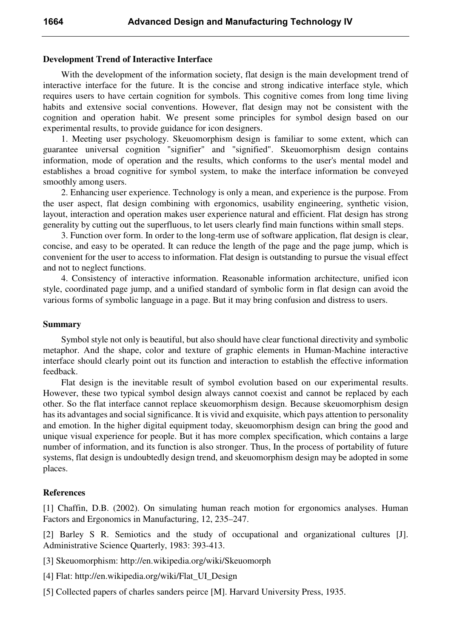#### Development Trend of Interactive Interface

With the development of the information society, flat design is the main development trend of interactive interface for the future. It is the concise and strong indicative interface style, which requires users to have certain cognition for symbols. This cognitive comes from long time living habits and extensive social conventions. However, flat design may not be consistent with the cognition and operation habit. We present some principles for symbol design based on our experimental results, to provide guidance for icon designers.

1. Meeting user psychology. Skeuomorphism design is familiar to some extent, which can guarantee universal cognition "signifier" and "signified". Skeuomorphism design contains information, mode of operation and the results, which conforms to the user's mental model and establishes a broad cognitive for symbol system, to make the interface information be conveyed smoothly among users.

2. Enhancing user experience. Technology is only a mean, and experience is the purpose. From the user aspect, flat design combining with ergonomics, usability engineering, synthetic vision, layout, interaction and operation makes user experience natural and efficient. Flat design has strong generality by cutting out the superfluous, to let users clearly find main functions within small steps.

3. Function over form. In order to the long-term use of software application, flat design is clear, concise, and easy to be operated. It can reduce the length of the page and the page jump, which is convenient for the user to access to information. Flat design is outstanding to pursue the visual effect and not to neglect functions.

4. Consistency of interactive information. Reasonable information architecture, unified icon style, coordinated page jump, and a unified standard of symbolic form in flat design can avoid the various forms of symbolic language in a page. But it may bring confusion and distress to users.

#### Summary

Symbol style not only is beautiful, but also should have clear functional directivity and symbolic metaphor. And the shape, color and texture of graphic elements in Human-Machine interactive interface should clearly point out its function and interaction to establish the effective information feedback.

Flat design is the inevitable result of symbol evolution based on our experimental results. However, these two typical symbol design always cannot coexist and cannot be replaced by each other. So the flat interface cannot replace skeuomorphism design. Because skeuomorphism design has its advantages and social significance. It is vivid and exquisite, which pays attention to personality and emotion. In the higher digital equipment today, skeuomorphism design can bring the good and unique visual experience for people. But it has more complex specification, which contains a large number of information, and its function is also stronger. Thus, In the process of portability of future systems, flat design is undoubtedly design trend, and skeuomorphism design may be adopted in some places.

### References

[1] Chaffin, D.B. (2002). On simulating human reach motion for ergonomics analyses. Human Factors and Ergonomics in Manufacturing, 12, 235–247.

[2] Barley S R. Semiotics and the study of occupational and organizational cultures [J]. Administrative Science Quarterly, 1983: 393-413.

[3] Skeuomorphism: http://en.wikipedia.org/wiki/Skeuomorph

[4] Flat: http://en.wikipedia.org/wiki/Flat\_UI\_Design

[5] Collected papers of charles sanders peirce [M]. Harvard University Press, 1935.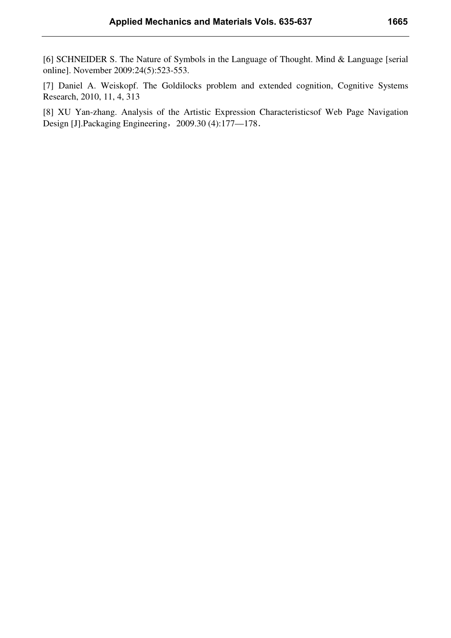[6] SCHNEIDER S. The Nature of Symbols in the Language of Thought. Mind & Language [serial online]. November 2009:24(5):523-553.

[7] Daniel A. Weiskopf. The Goldilocks problem and extended cognition, Cognitive Systems Research, 2010, 11, 4, 313

[8] XU Yan-zhang. Analysis of the Artistic Expression Characteristicsof Web Page Navigation Design [J].Packaging Engineering,2009.30 (4):177—178.